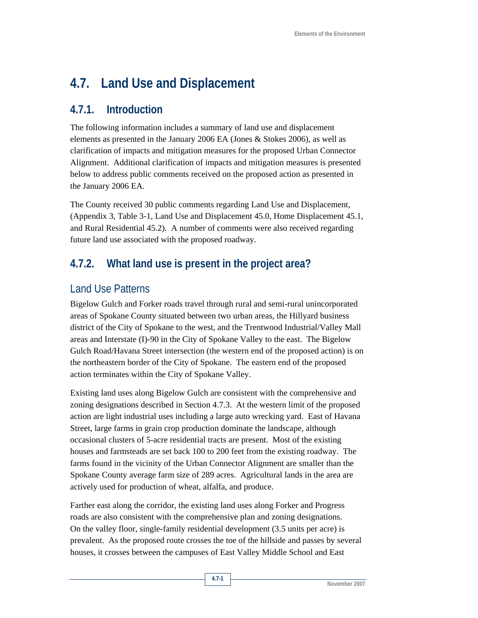# **4.7. Land Use and Displacement**

#### **4.7.1. Introduction**

The following information includes a summary of land use and displacement elements as presented in the January 2006 EA (Jones & Stokes 2006), as well as clarification of impacts and mitigation measures for the proposed Urban Connector Alignment. Additional clarification of impacts and mitigation measures is presented below to address public comments received on the proposed action as presented in the January 2006 EA.

The County received 30 public comments regarding Land Use and Displacement, (Appendix 3, Table 3-1, Land Use and Displacement 45.0, Home Displacement 45.1, and Rural Residential 45.2). A number of comments were also received regarding future land use associated with the proposed roadway.

# **4.7.2. What land use is present in the project area?**

## Land Use Patterns

Bigelow Gulch and Forker roads travel through rural and semi-rural unincorporated areas of Spokane County situated between two urban areas, the Hillyard business district of the City of Spokane to the west, and the Trentwood Industrial/Valley Mall areas and Interstate (I)-90 in the City of Spokane Valley to the east. The Bigelow Gulch Road/Havana Street intersection (the western end of the proposed action) is on the northeastern border of the City of Spokane. The eastern end of the proposed action terminates within the City of Spokane Valley.

Existing land uses along Bigelow Gulch are consistent with the comprehensive and zoning designations described in Section 4.7.3. At the western limit of the proposed action are light industrial uses including a large auto wrecking yard. East of Havana Street, large farms in grain crop production dominate the landscape, although occasional clusters of 5-acre residential tracts are present. Most of the existing houses and farmsteads are set back 100 to 200 feet from the existing roadway. The farms found in the vicinity of the Urban Connector Alignment are smaller than the Spokane County average farm size of 289 acres. Agricultural lands in the area are actively used for production of wheat, alfalfa, and produce.

Farther east along the corridor, the existing land uses along Forker and Progress roads are also consistent with the comprehensive plan and zoning designations. On the valley floor, single-family residential development (3.5 units per acre) is prevalent. As the proposed route crosses the toe of the hillside and passes by several houses, it crosses between the campuses of East Valley Middle School and East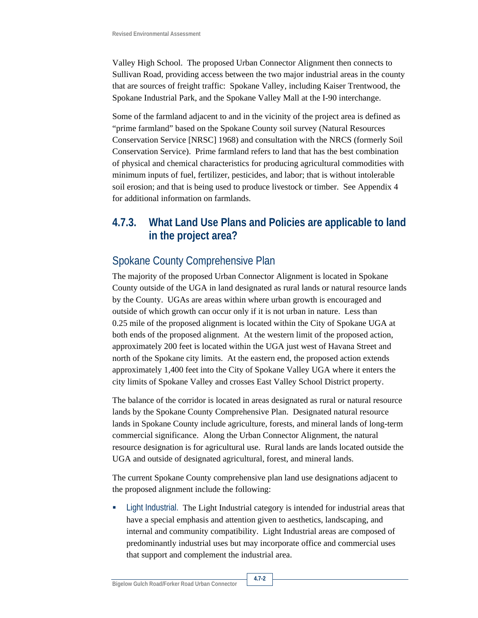Valley High School. The proposed Urban Connector Alignment then connects to Sullivan Road, providing access between the two major industrial areas in the county that are sources of freight traffic: Spokane Valley, including Kaiser Trentwood, the Spokane Industrial Park, and the Spokane Valley Mall at the I-90 interchange.

Some of the farmland adjacent to and in the vicinity of the project area is defined as "prime farmland" based on the Spokane County soil survey (Natural Resources Conservation Service [NRSC] 1968) and consultation with the NRCS (formerly Soil Conservation Service). Prime farmland refers to land that has the best combination of physical and chemical characteristics for producing agricultural commodities with minimum inputs of fuel, fertilizer, pesticides, and labor; that is without intolerable soil erosion; and that is being used to produce livestock or timber. See Appendix 4 for additional information on farmlands.

### **4.7.3. What Land Use Plans and Policies are applicable to land in the project area?**

# Spokane County Comprehensive Plan

The majority of the proposed Urban Connector Alignment is located in Spokane County outside of the UGA in land designated as rural lands or natural resource lands by the County. UGAs are areas within where urban growth is encouraged and outside of which growth can occur only if it is not urban in nature. Less than 0.25 mile of the proposed alignment is located within the City of Spokane UGA at both ends of the proposed alignment. At the western limit of the proposed action, approximately 200 feet is located within the UGA just west of Havana Street and north of the Spokane city limits. At the eastern end, the proposed action extends approximately 1,400 feet into the City of Spokane Valley UGA where it enters the city limits of Spokane Valley and crosses East Valley School District property.

The balance of the corridor is located in areas designated as rural or natural resource lands by the Spokane County Comprehensive Plan. Designated natural resource lands in Spokane County include agriculture, forests, and mineral lands of long-term commercial significance. Along the Urban Connector Alignment, the natural resource designation is for agricultural use. Rural lands are lands located outside the UGA and outside of designated agricultural, forest, and mineral lands.

The current Spokane County comprehensive plan land use designations adjacent to the proposed alignment include the following:

 Light Industrial. The Light Industrial category is intended for industrial areas that have a special emphasis and attention given to aesthetics, landscaping, and internal and community compatibility. Light Industrial areas are composed of predominantly industrial uses but may incorporate office and commercial uses that support and complement the industrial area.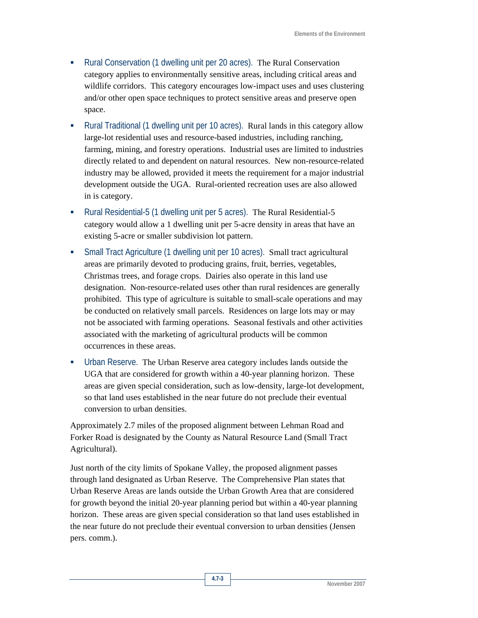- Rural Conservation (1 dwelling unit per 20 acres). The Rural Conservation category applies to environmentally sensitive areas, including critical areas and wildlife corridors. This category encourages low-impact uses and uses clustering and/or other open space techniques to protect sensitive areas and preserve open space.
- Rural Traditional (1 dwelling unit per 10 acres). Rural lands in this category allow large-lot residential uses and resource-based industries, including ranching, farming, mining, and forestry operations. Industrial uses are limited to industries directly related to and dependent on natural resources. New non-resource-related industry may be allowed, provided it meets the requirement for a major industrial development outside the UGA. Rural-oriented recreation uses are also allowed in is category.
- Rural Residential-5 (1 dwelling unit per 5 acres). The Rural Residential-5 category would allow a 1 dwelling unit per 5-acre density in areas that have an existing 5-acre or smaller subdivision lot pattern.
- Small Tract Agriculture (1 dwelling unit per 10 acres). Small tract agricultural areas are primarily devoted to producing grains, fruit, berries, vegetables, Christmas trees, and forage crops. Dairies also operate in this land use designation. Non-resource-related uses other than rural residences are generally prohibited. This type of agriculture is suitable to small-scale operations and may be conducted on relatively small parcels. Residences on large lots may or may not be associated with farming operations. Seasonal festivals and other activities associated with the marketing of agricultural products will be common occurrences in these areas.
- Urban Reserve. The Urban Reserve area category includes lands outside the UGA that are considered for growth within a 40-year planning horizon. These areas are given special consideration, such as low-density, large-lot development, so that land uses established in the near future do not preclude their eventual conversion to urban densities.

Approximately 2.7 miles of the proposed alignment between Lehman Road and Forker Road is designated by the County as Natural Resource Land (Small Tract Agricultural).

Just north of the city limits of Spokane Valley, the proposed alignment passes through land designated as Urban Reserve. The Comprehensive Plan states that Urban Reserve Areas are lands outside the Urban Growth Area that are considered for growth beyond the initial 20-year planning period but within a 40-year planning horizon. These areas are given special consideration so that land uses established in the near future do not preclude their eventual conversion to urban densities (Jensen pers. comm.).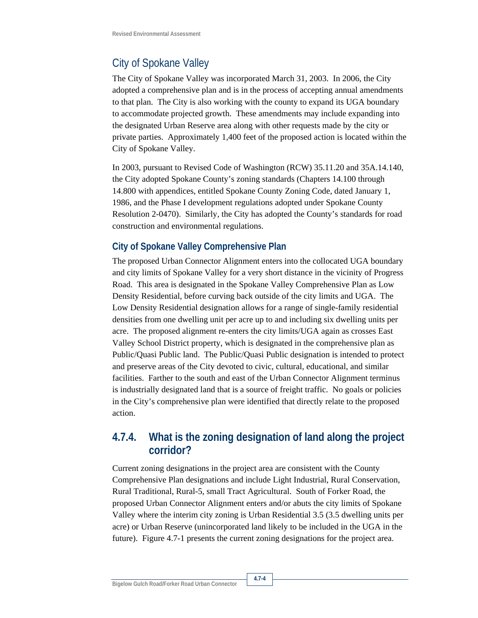### City of Spokane Valley

The City of Spokane Valley was incorporated March 31, 2003. In 2006, the City adopted a comprehensive plan and is in the process of accepting annual amendments to that plan. The City is also working with the county to expand its UGA boundary to accommodate projected growth. These amendments may include expanding into the designated Urban Reserve area along with other requests made by the city or private parties. Approximately 1,400 feet of the proposed action is located within the City of Spokane Valley.

In 2003, pursuant to Revised Code of Washington (RCW) 35.11.20 and 35A.14.140, the City adopted Spokane County's zoning standards (Chapters 14.100 through 14.800 with appendices, entitled Spokane County Zoning Code, dated January 1, 1986, and the Phase I development regulations adopted under Spokane County Resolution 2-0470). Similarly, the City has adopted the County's standards for road construction and environmental regulations.

#### **City of Spokane Valley Comprehensive Plan**

The proposed Urban Connector Alignment enters into the collocated UGA boundary and city limits of Spokane Valley for a very short distance in the vicinity of Progress Road. This area is designated in the Spokane Valley Comprehensive Plan as Low Density Residential, before curving back outside of the city limits and UGA. The Low Density Residential designation allows for a range of single-family residential densities from one dwelling unit per acre up to and including six dwelling units per acre. The proposed alignment re-enters the city limits/UGA again as crosses East Valley School District property, which is designated in the comprehensive plan as Public/Quasi Public land. The Public/Quasi Public designation is intended to protect and preserve areas of the City devoted to civic, cultural, educational, and similar facilities. Farther to the south and east of the Urban Connector Alignment terminus is industrially designated land that is a source of freight traffic. No goals or policies in the City's comprehensive plan were identified that directly relate to the proposed action.

### **4.7.4. What is the zoning designation of land along the project corridor?**

Current zoning designations in the project area are consistent with the County Comprehensive Plan designations and include Light Industrial, Rural Conservation, Rural Traditional, Rural-5, small Tract Agricultural. South of Forker Road, the proposed Urban Connector Alignment enters and/or abuts the city limits of Spokane Valley where the interim city zoning is Urban Residential 3.5 (3.5 dwelling units per acre) or Urban Reserve (unincorporated land likely to be included in the UGA in the future). Figure 4.7-1 presents the current zoning designations for the project area.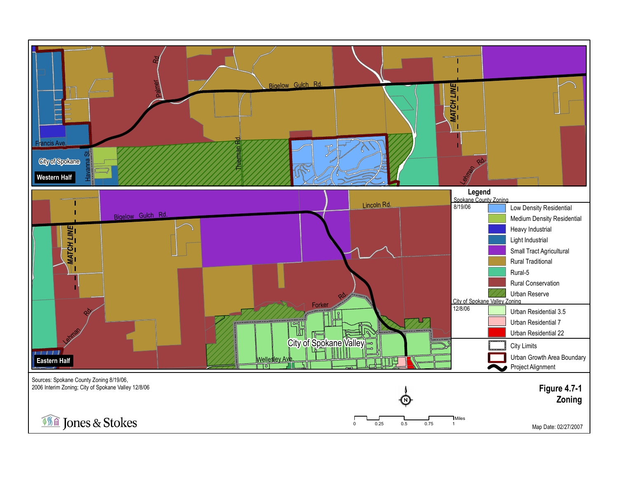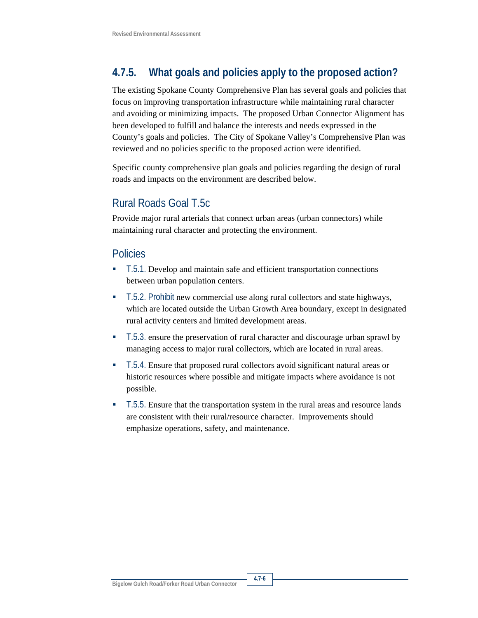# **4.7.5. What goals and policies apply to the proposed action?**

The existing Spokane County Comprehensive Plan has several goals and policies that focus on improving transportation infrastructure while maintaining rural character and avoiding or minimizing impacts. The proposed Urban Connector Alignment has been developed to fulfill and balance the interests and needs expressed in the County's goals and policies. The City of Spokane Valley's Comprehensive Plan was reviewed and no policies specific to the proposed action were identified.

Specific county comprehensive plan goals and policies regarding the design of rural roads and impacts on the environment are described below.

# Rural Roads Goal T.5c

Provide major rural arterials that connect urban areas (urban connectors) while maintaining rural character and protecting the environment.

## Policies

- T.5.1. Develop and maintain safe and efficient transportation connections between urban population centers.
- T.5.2. Prohibit new commercial use along rural collectors and state highways, which are located outside the Urban Growth Area boundary, except in designated rural activity centers and limited development areas.
- T.5.3. ensure the preservation of rural character and discourage urban sprawl by managing access to major rural collectors, which are located in rural areas.
- T.5.4. Ensure that proposed rural collectors avoid significant natural areas or historic resources where possible and mitigate impacts where avoidance is not possible.
- T.5.5. Ensure that the transportation system in the rural areas and resource lands are consistent with their rural/resource character. Improvements should emphasize operations, safety, and maintenance.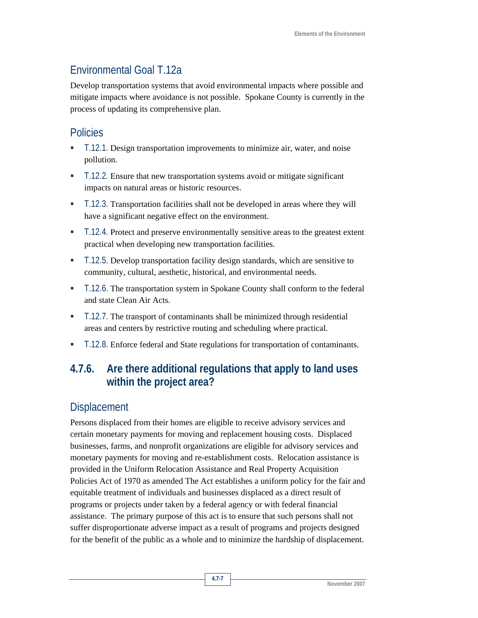## Environmental Goal T.12a

Develop transportation systems that avoid environmental impacts where possible and mitigate impacts where avoidance is not possible. Spokane County is currently in the process of updating its comprehensive plan.

#### Policies

- T.12.1. Design transportation improvements to minimize air, water, and noise pollution.
- T.12.2. Ensure that new transportation systems avoid or mitigate significant impacts on natural areas or historic resources.
- T.12.3. Transportation facilities shall not be developed in areas where they will have a significant negative effect on the environment.
- T.12.4. Protect and preserve environmentally sensitive areas to the greatest extent practical when developing new transportation facilities.
- T.12.5. Develop transportation facility design standards, which are sensitive to community, cultural, aesthetic, historical, and environmental needs.
- T.12.6. The transportation system in Spokane County shall conform to the federal and state Clean Air Acts.
- T.12.7. The transport of contaminants shall be minimized through residential areas and centers by restrictive routing and scheduling where practical.
- T.12.8. Enforce federal and State regulations for transportation of contaminants.

## **4.7.6. Are there additional regulations that apply to land uses within the project area?**

#### **Displacement**

Persons displaced from their homes are eligible to receive advisory services and certain monetary payments for moving and replacement housing costs. Displaced businesses, farms, and nonprofit organizations are eligible for advisory services and monetary payments for moving and re-establishment costs. Relocation assistance is provided in the Uniform Relocation Assistance and Real Property Acquisition Policies Act of 1970 as amended The Act establishes a uniform policy for the fair and equitable treatment of individuals and businesses displaced as a direct result of programs or projects under taken by a federal agency or with federal financial assistance. The primary purpose of this act is to ensure that such persons shall not suffer disproportionate adverse impact as a result of programs and projects designed for the benefit of the public as a whole and to minimize the hardship of displacement.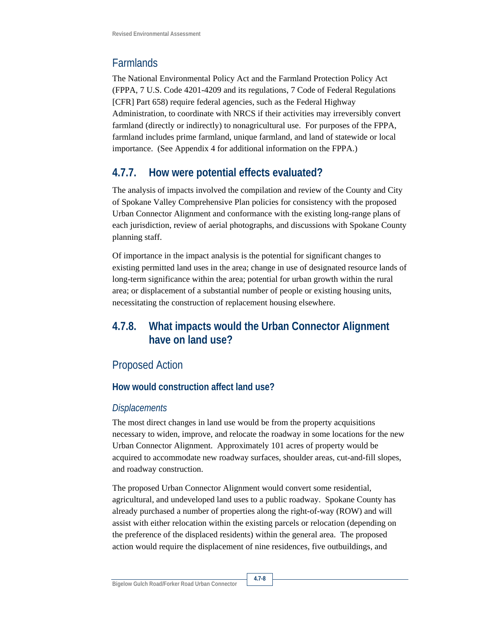## **Farmlands**

The National Environmental Policy Act and the Farmland Protection Policy Act (FPPA, 7 U.S. Code 4201-4209 and its regulations, 7 Code of Federal Regulations [CFR] Part 658) require federal agencies, such as the Federal Highway Administration, to coordinate with NRCS if their activities may irreversibly convert farmland (directly or indirectly) to nonagricultural use. For purposes of the FPPA, farmland includes prime farmland, unique farmland, and land of statewide or local importance. (See Appendix 4 for additional information on the FPPA.)

## **4.7.7. How were potential effects evaluated?**

The analysis of impacts involved the compilation and review of the County and City of Spokane Valley Comprehensive Plan policies for consistency with the proposed Urban Connector Alignment and conformance with the existing long-range plans of each jurisdiction, review of aerial photographs, and discussions with Spokane County planning staff.

Of importance in the impact analysis is the potential for significant changes to existing permitted land uses in the area; change in use of designated resource lands of long-term significance within the area; potential for urban growth within the rural area; or displacement of a substantial number of people or existing housing units, necessitating the construction of replacement housing elsewhere.

# **4.7.8. What impacts would the Urban Connector Alignment have on land use?**

## Proposed Action

#### **How would construction affect land use?**

#### *Displacements*

The most direct changes in land use would be from the property acquisitions necessary to widen, improve, and relocate the roadway in some locations for the new Urban Connector Alignment. Approximately 101 acres of property would be acquired to accommodate new roadway surfaces, shoulder areas, cut-and-fill slopes, and roadway construction.

The proposed Urban Connector Alignment would convert some residential, agricultural, and undeveloped land uses to a public roadway. Spokane County has already purchased a number of properties along the right-of-way (ROW) and will assist with either relocation within the existing parcels or relocation (depending on the preference of the displaced residents) within the general area. The proposed action would require the displacement of nine residences, five outbuildings, and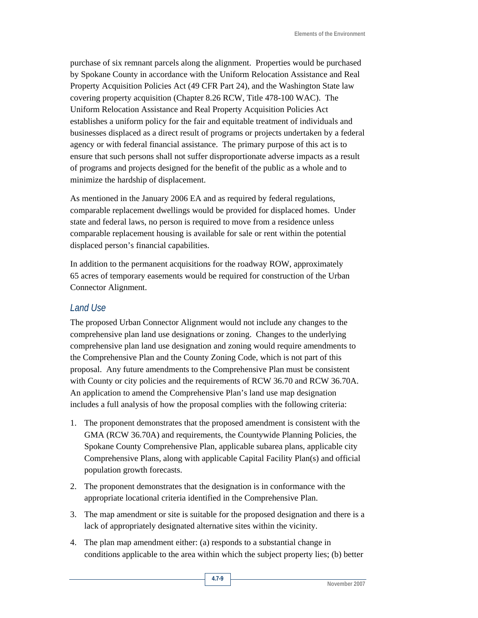purchase of six remnant parcels along the alignment. Properties would be purchased by Spokane County in accordance with the Uniform Relocation Assistance and Real Property Acquisition Policies Act (49 CFR Part 24), and the Washington State law covering property acquisition (Chapter 8.26 RCW, Title 478-100 WAC). The Uniform Relocation Assistance and Real Property Acquisition Policies Act establishes a uniform policy for the fair and equitable treatment of individuals and businesses displaced as a direct result of programs or projects undertaken by a federal agency or with federal financial assistance. The primary purpose of this act is to ensure that such persons shall not suffer disproportionate adverse impacts as a result of programs and projects designed for the benefit of the public as a whole and to minimize the hardship of displacement.

As mentioned in the January 2006 EA and as required by federal regulations, comparable replacement dwellings would be provided for displaced homes. Under state and federal laws, no person is required to move from a residence unless comparable replacement housing is available for sale or rent within the potential displaced person's financial capabilities.

In addition to the permanent acquisitions for the roadway ROW, approximately 65 acres of temporary easements would be required for construction of the Urban Connector Alignment.

#### *Land Use*

The proposed Urban Connector Alignment would not include any changes to the comprehensive plan land use designations or zoning. Changes to the underlying comprehensive plan land use designation and zoning would require amendments to the Comprehensive Plan and the County Zoning Code, which is not part of this proposal. Any future amendments to the Comprehensive Plan must be consistent with County or city policies and the requirements of RCW 36.70 and RCW 36.70A. An application to amend the Comprehensive Plan's land use map designation includes a full analysis of how the proposal complies with the following criteria:

- 1. The proponent demonstrates that the proposed amendment is consistent with the GMA (RCW 36.70A) and requirements, the Countywide Planning Policies, the Spokane County Comprehensive Plan, applicable subarea plans, applicable city Comprehensive Plans, along with applicable Capital Facility Plan(s) and official population growth forecasts.
- 2. The proponent demonstrates that the designation is in conformance with the appropriate locational criteria identified in the Comprehensive Plan.
- 3. The map amendment or site is suitable for the proposed designation and there is a lack of appropriately designated alternative sites within the vicinity.
- 4. The plan map amendment either: (a) responds to a substantial change in conditions applicable to the area within which the subject property lies; (b) better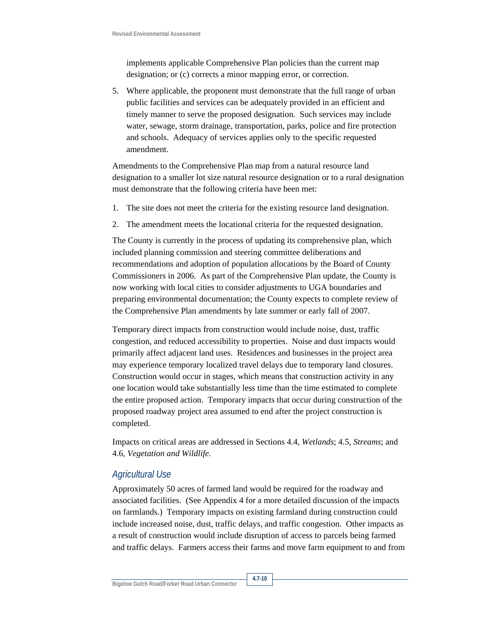implements applicable Comprehensive Plan policies than the current map designation; or (c) corrects a minor mapping error, or correction.

5. Where applicable, the proponent must demonstrate that the full range of urban public facilities and services can be adequately provided in an efficient and timely manner to serve the proposed designation. Such services may include water, sewage, storm drainage, transportation, parks, police and fire protection and schools. Adequacy of services applies only to the specific requested amendment.

Amendments to the Comprehensive Plan map from a natural resource land designation to a smaller lot size natural resource designation or to a rural designation must demonstrate that the following criteria have been met:

- 1. The site does not meet the criteria for the existing resource land designation.
- 2. The amendment meets the locational criteria for the requested designation.

The County is currently in the process of updating its comprehensive plan, which included planning commission and steering committee deliberations and recommendations and adoption of population allocations by the Board of County Commissioners in 2006. As part of the Comprehensive Plan update, the County is now working with local cities to consider adjustments to UGA boundaries and preparing environmental documentation; the County expects to complete review of the Comprehensive Plan amendments by late summer or early fall of 2007.

Temporary direct impacts from construction would include noise, dust, traffic congestion, and reduced accessibility to properties. Noise and dust impacts would primarily affect adjacent land uses. Residences and businesses in the project area may experience temporary localized travel delays due to temporary land closures. Construction would occur in stages, which means that construction activity in any one location would take substantially less time than the time estimated to complete the entire proposed action. Temporary impacts that occur during construction of the proposed roadway project area assumed to end after the project construction is completed.

Impacts on critical areas are addressed in Sections 4.4, *Wetlands*; 4.5, *Streams*; and 4.6, *Vegetation and Wildlife*.

#### *Agricultural Use*

Approximately 50 acres of farmed land would be required for the roadway and associated facilities. (See Appendix 4 for a more detailed discussion of the impacts on farmlands.) Temporary impacts on existing farmland during construction could include increased noise, dust, traffic delays, and traffic congestion. Other impacts as a result of construction would include disruption of access to parcels being farmed and traffic delays. Farmers access their farms and move farm equipment to and from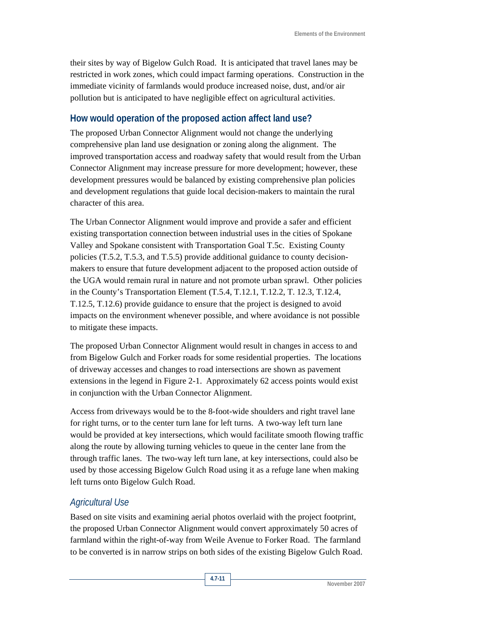their sites by way of Bigelow Gulch Road. It is anticipated that travel lanes may be restricted in work zones, which could impact farming operations. Construction in the immediate vicinity of farmlands would produce increased noise, dust, and/or air pollution but is anticipated to have negligible effect on agricultural activities.

#### **How would operation of the proposed action affect land use?**

The proposed Urban Connector Alignment would not change the underlying comprehensive plan land use designation or zoning along the alignment. The improved transportation access and roadway safety that would result from the Urban Connector Alignment may increase pressure for more development; however, these development pressures would be balanced by existing comprehensive plan policies and development regulations that guide local decision-makers to maintain the rural character of this area.

The Urban Connector Alignment would improve and provide a safer and efficient existing transportation connection between industrial uses in the cities of Spokane Valley and Spokane consistent with Transportation Goal T.5c. Existing County policies (T.5.2, T.5.3, and T.5.5) provide additional guidance to county decisionmakers to ensure that future development adjacent to the proposed action outside of the UGA would remain rural in nature and not promote urban sprawl. Other policies in the County's Transportation Element (T.5.4, T.12.1, T.12.2, T. 12.3, T.12.4, T.12.5, T.12.6) provide guidance to ensure that the project is designed to avoid impacts on the environment whenever possible, and where avoidance is not possible to mitigate these impacts.

The proposed Urban Connector Alignment would result in changes in access to and from Bigelow Gulch and Forker roads for some residential properties. The locations of driveway accesses and changes to road intersections are shown as pavement extensions in the legend in Figure 2-1. Approximately 62 access points would exist in conjunction with the Urban Connector Alignment.

Access from driveways would be to the 8-foot-wide shoulders and right travel lane for right turns, or to the center turn lane for left turns. A two-way left turn lane would be provided at key intersections, which would facilitate smooth flowing traffic along the route by allowing turning vehicles to queue in the center lane from the through traffic lanes. The two-way left turn lane, at key intersections, could also be used by those accessing Bigelow Gulch Road using it as a refuge lane when making left turns onto Bigelow Gulch Road.

#### *Agricultural Use*

Based on site visits and examining aerial photos overlaid with the project footprint, the proposed Urban Connector Alignment would convert approximately 50 acres of farmland within the right-of-way from Weile Avenue to Forker Road. The farmland to be converted is in narrow strips on both sides of the existing Bigelow Gulch Road.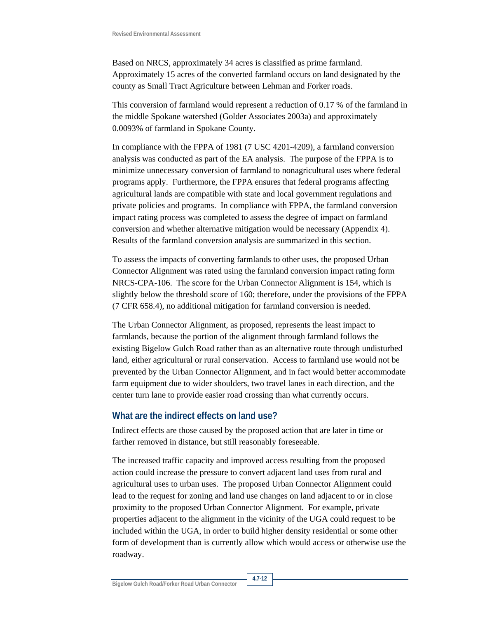Based on NRCS, approximately 34 acres is classified as prime farmland. Approximately 15 acres of the converted farmland occurs on land designated by the county as Small Tract Agriculture between Lehman and Forker roads.

This conversion of farmland would represent a reduction of 0.17 % of the farmland in the middle Spokane watershed (Golder Associates 2003a) and approximately 0.0093% of farmland in Spokane County.

In compliance with the FPPA of 1981 (7 USC 4201-4209), a farmland conversion analysis was conducted as part of the EA analysis. The purpose of the FPPA is to minimize unnecessary conversion of farmland to nonagricultural uses where federal programs apply. Furthermore, the FPPA ensures that federal programs affecting agricultural lands are compatible with state and local government regulations and private policies and programs. In compliance with FPPA, the farmland conversion impact rating process was completed to assess the degree of impact on farmland conversion and whether alternative mitigation would be necessary (Appendix 4). Results of the farmland conversion analysis are summarized in this section.

To assess the impacts of converting farmlands to other uses, the proposed Urban Connector Alignment was rated using the farmland conversion impact rating form NRCS-CPA-106. The score for the Urban Connector Alignment is 154, which is slightly below the threshold score of 160; therefore, under the provisions of the FPPA (7 CFR 658.4), no additional mitigation for farmland conversion is needed.

The Urban Connector Alignment, as proposed, represents the least impact to farmlands, because the portion of the alignment through farmland follows the existing Bigelow Gulch Road rather than as an alternative route through undisturbed land, either agricultural or rural conservation. Access to farmland use would not be prevented by the Urban Connector Alignment, and in fact would better accommodate farm equipment due to wider shoulders, two travel lanes in each direction, and the center turn lane to provide easier road crossing than what currently occurs.

#### **What are the indirect effects on land use?**

Indirect effects are those caused by the proposed action that are later in time or farther removed in distance, but still reasonably foreseeable.

The increased traffic capacity and improved access resulting from the proposed action could increase the pressure to convert adjacent land uses from rural and agricultural uses to urban uses. The proposed Urban Connector Alignment could lead to the request for zoning and land use changes on land adjacent to or in close proximity to the proposed Urban Connector Alignment. For example, private properties adjacent to the alignment in the vicinity of the UGA could request to be included within the UGA, in order to build higher density residential or some other form of development than is currently allow which would access or otherwise use the roadway.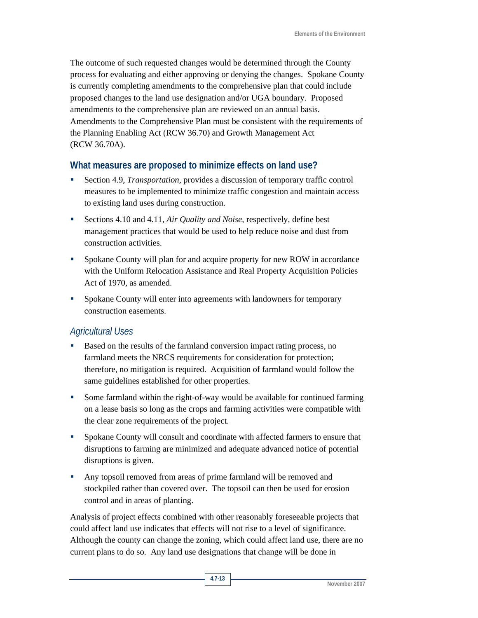The outcome of such requested changes would be determined through the County process for evaluating and either approving or denying the changes. Spokane County is currently completing amendments to the comprehensive plan that could include proposed changes to the land use designation and/or UGA boundary. Proposed amendments to the comprehensive plan are reviewed on an annual basis. Amendments to the Comprehensive Plan must be consistent with the requirements of the Planning Enabling Act (RCW 36.70) and Growth Management Act (RCW 36.70A).

#### **What measures are proposed to minimize effects on land use?**

- Section 4.9, *Transportation,* provides a discussion of temporary traffic control measures to be implemented to minimize traffic congestion and maintain access to existing land uses during construction.
- Sections 4.10 and 4.11, *Air Quality and Noise,* respectively*,* define best management practices that would be used to help reduce noise and dust from construction activities.
- Spokane County will plan for and acquire property for new ROW in accordance with the Uniform Relocation Assistance and Real Property Acquisition Policies Act of 1970, as amended.
- Spokane County will enter into agreements with landowners for temporary construction easements.

#### *Agricultural Uses*

- Based on the results of the farmland conversion impact rating process, no farmland meets the NRCS requirements for consideration for protection; therefore, no mitigation is required. Acquisition of farmland would follow the same guidelines established for other properties.
- Some farmland within the right-of-way would be available for continued farming on a lease basis so long as the crops and farming activities were compatible with the clear zone requirements of the project.
- **Spokane County will consult and coordinate with affected farmers to ensure that** disruptions to farming are minimized and adequate advanced notice of potential disruptions is given.
- Any topsoil removed from areas of prime farmland will be removed and stockpiled rather than covered over. The topsoil can then be used for erosion control and in areas of planting.

Analysis of project effects combined with other reasonably foreseeable projects that could affect land use indicates that effects will not rise to a level of significance. Although the county can change the zoning, which could affect land use, there are no current plans to do so. Any land use designations that change will be done in